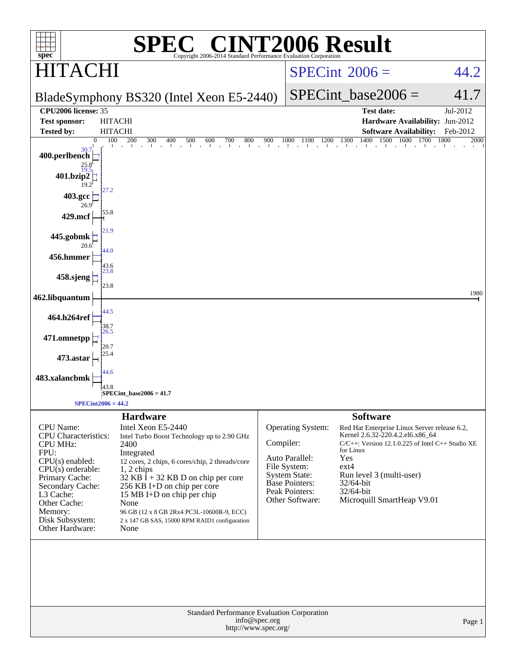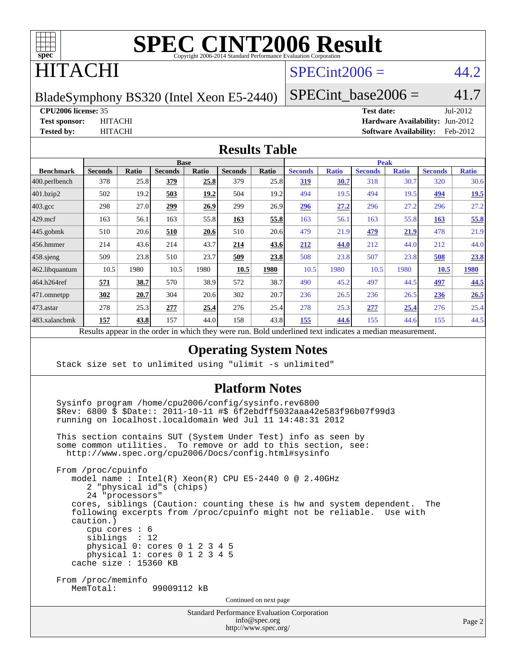

### ITACHI

### $SPECint2006 = 44.2$  $SPECint2006 = 44.2$

BladeSymphony BS320 (Intel Xeon E5-2440)

SPECint base2006 =  $41.7$ 

```
CPU2006 license: 35 Test date: Jul-2012
```
**[Test sponsor:](http://www.spec.org/auto/cpu2006/Docs/result-fields.html#Testsponsor)** HITACHI **[Hardware Availability:](http://www.spec.org/auto/cpu2006/Docs/result-fields.html#HardwareAvailability)** Jun-2012 **[Tested by:](http://www.spec.org/auto/cpu2006/Docs/result-fields.html#Testedby)** HITACHI **[Software Availability:](http://www.spec.org/auto/cpu2006/Docs/result-fields.html#SoftwareAvailability)** Feb-2012

#### **[Results Table](http://www.spec.org/auto/cpu2006/Docs/result-fields.html#ResultsTable)**

| <b>Base</b>    |              |                |              |                | <b>Peak</b> |                |              |                         |              |                |              |
|----------------|--------------|----------------|--------------|----------------|-------------|----------------|--------------|-------------------------|--------------|----------------|--------------|
| <b>Seconds</b> | Ratio        | <b>Seconds</b> | <b>Ratio</b> | <b>Seconds</b> | Ratio       | <b>Seconds</b> | <b>Ratio</b> | <b>Seconds</b>          | <b>Ratio</b> | <b>Seconds</b> | <b>Ratio</b> |
| 378            | 25.8         | 379            | 25.8         | 379            | 25.8        | <u>319</u>     | 30.7         | 318                     | 30.7         | 320            | 30.6         |
| 502            | 19.2         | 503            | 19.2         | 504            | 19.2        | 494            | 19.5         | 494                     | 19.5         | 494            | 19.5         |
| 298            | 27.0         | 299            | 26.9         | 299            | 26.9        | 296            | 27.2         | 296                     | 27.2         | 296            | 27.2         |
| 163            | 56.1         | 163            | 55.8         | 163            | 55.8        | 163            | 56.1         | 163                     | 55.8         | 163            | 55.8         |
| 510            | 20.6         | 510            | 20.6         | 510            | 20.6        | 479            | 21.9         | 479                     | 21.9         | 478            | 21.9         |
| 214            | 43.6         | 214            | 43.7         | 214            | 43.6        | 212            | 44.0         | 212                     | 44.0         | 212            | 44.0         |
| 509            | 23.8         | 510            | 23.7         | 509            | 23.8        | 508            | 23.8         | 507                     | 23.8         | 508            | 23.8         |
| 10.5           | 1980         | 10.5           | 1980         | 10.5           | 1980        | 10.5           | 1980         | 10.5                    | 1980         | 10.5           | 1980         |
| 571            | 38.7         | 570            | 38.9         | 572            | 38.7        | 490            | 45.2         | 497                     | 44.5         | 497            | 44.5         |
| 302            | 20.7         | 304            | 20.6         | 302            | 20.7        | 236            | 26.5         | 236                     | 26.5         | 236            | 26.5         |
| 278            | 25.3         | 277            | 25.4         | 276            | 25.4        | 278            | 25.3         | 277                     | 25.4         | 276            | 25.4         |
| 157            | 43.8         | 157            | 44.0         | 158            | 43.8        | 155            | 44.6         | 155                     | 44.6         | 155            | 44.5         |
| n.             | $\mathbf{1}$ | $\cdot$ . 1    |              | 1.1.1          |             | $n$ 11         | $1 \quad 1$  | $\mathbf{1}$<br>$\cdot$ |              |                |              |

Results appear in the [order in which they were run.](http://www.spec.org/auto/cpu2006/Docs/result-fields.html#RunOrder) Bold underlined text [indicates a median measurement.](http://www.spec.org/auto/cpu2006/Docs/result-fields.html#Median)

### **[Operating System Notes](http://www.spec.org/auto/cpu2006/Docs/result-fields.html#OperatingSystemNotes)**

Stack size set to unlimited using "ulimit -s unlimited"

#### **[Platform Notes](http://www.spec.org/auto/cpu2006/Docs/result-fields.html#PlatformNotes)**

 Sysinfo program /home/cpu2006/config/sysinfo.rev6800 \$Rev: 6800 \$ \$Date:: 2011-10-11 #\$ 6f2ebdff5032aaa42e583f96b07f99d3 running on localhost.localdomain Wed Jul 11 14:48:31 2012

 This section contains SUT (System Under Test) info as seen by some common utilities. To remove or add to this section, see: <http://www.spec.org/cpu2006/Docs/config.html#sysinfo>

 From /proc/cpuinfo model name : Intel(R) Xeon(R) CPU E5-2440 0 @ 2.40GHz 2 "physical id"s (chips) 24 "processors" cores, siblings (Caution: counting these is hw and system dependent. The following excerpts from /proc/cpuinfo might not be reliable. Use with caution.) cpu cores : 6 siblings : 12 physical 0: cores 0 1 2 3 4 5 physical 1: cores 0 1 2 3 4 5 cache size : 15360 KB From /proc/meminfo MemTotal: 99009112 kB Continued on next page

> Standard Performance Evaluation Corporation [info@spec.org](mailto:info@spec.org)

> > <http://www.spec.org/>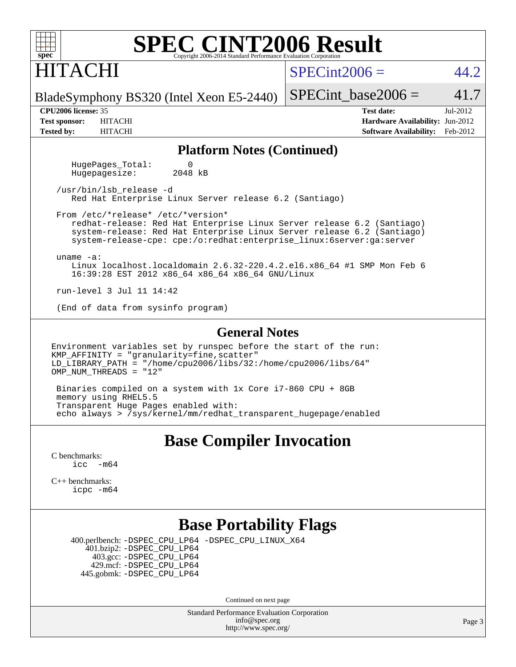### HITACHI

 $SPECint2006 = 44.2$  $SPECint2006 = 44.2$ 

BladeSymphony BS320 (Intel Xeon E5-2440)

SPECint base2006 =  $41.7$ **[CPU2006 license:](http://www.spec.org/auto/cpu2006/Docs/result-fields.html#CPU2006license)** 35 **[Test date:](http://www.spec.org/auto/cpu2006/Docs/result-fields.html#Testdate)** Jul-2012

**[Test sponsor:](http://www.spec.org/auto/cpu2006/Docs/result-fields.html#Testsponsor)** HITACHI **[Hardware Availability:](http://www.spec.org/auto/cpu2006/Docs/result-fields.html#HardwareAvailability)** Jun-2012 **[Tested by:](http://www.spec.org/auto/cpu2006/Docs/result-fields.html#Testedby)** HITACHI **[Software Availability:](http://www.spec.org/auto/cpu2006/Docs/result-fields.html#SoftwareAvailability)** Feb-2012

#### **[Platform Notes \(Continued\)](http://www.spec.org/auto/cpu2006/Docs/result-fields.html#PlatformNotes)**

HugePages\_Total: 0<br>Hugepagesize: 2048 kB Hugepagesize:

 /usr/bin/lsb\_release -d Red Hat Enterprise Linux Server release 6.2 (Santiago)

 From /etc/\*release\* /etc/\*version\* redhat-release: Red Hat Enterprise Linux Server release 6.2 (Santiago) system-release: Red Hat Enterprise Linux Server release 6.2 (Santiago) system-release-cpe: cpe:/o:redhat:enterprise\_linux:6server:ga:server

uname -a:

 Linux localhost.localdomain 2.6.32-220.4.2.el6.x86\_64 #1 SMP Mon Feb 6 16:39:28 EST 2012 x86\_64 x86\_64 x86\_64 GNU/Linux

run-level 3 Jul 11 14:42

(End of data from sysinfo program)

#### **[General Notes](http://www.spec.org/auto/cpu2006/Docs/result-fields.html#GeneralNotes)**

Environment variables set by runspec before the start of the run: KMP\_AFFINITY = "granularity=fine,scatter" LD\_LIBRARY\_PATH = "/home/cpu2006/libs/32:/home/cpu2006/libs/64" OMP NUM THREADS =  $"12"$ 

 Binaries compiled on a system with 1x Core i7-860 CPU + 8GB memory using RHEL5.5 Transparent Huge Pages enabled with: echo always > /sys/kernel/mm/redhat\_transparent\_hugepage/enabled

### **[Base Compiler Invocation](http://www.spec.org/auto/cpu2006/Docs/result-fields.html#BaseCompilerInvocation)**

[C benchmarks](http://www.spec.org/auto/cpu2006/Docs/result-fields.html#Cbenchmarks):  $\text{icc}$   $-\text{m64}$ 

[C++ benchmarks:](http://www.spec.org/auto/cpu2006/Docs/result-fields.html#CXXbenchmarks) [icpc -m64](http://www.spec.org/cpu2006/results/res2012q3/cpu2006-20120717-23773.flags.html#user_CXXbase_intel_icpc_64bit_fc66a5337ce925472a5c54ad6a0de310)

### **[Base Portability Flags](http://www.spec.org/auto/cpu2006/Docs/result-fields.html#BasePortabilityFlags)**

 400.perlbench: [-DSPEC\\_CPU\\_LP64](http://www.spec.org/cpu2006/results/res2012q3/cpu2006-20120717-23773.flags.html#b400.perlbench_basePORTABILITY_DSPEC_CPU_LP64) [-DSPEC\\_CPU\\_LINUX\\_X64](http://www.spec.org/cpu2006/results/res2012q3/cpu2006-20120717-23773.flags.html#b400.perlbench_baseCPORTABILITY_DSPEC_CPU_LINUX_X64) 401.bzip2: [-DSPEC\\_CPU\\_LP64](http://www.spec.org/cpu2006/results/res2012q3/cpu2006-20120717-23773.flags.html#suite_basePORTABILITY401_bzip2_DSPEC_CPU_LP64) 403.gcc: [-DSPEC\\_CPU\\_LP64](http://www.spec.org/cpu2006/results/res2012q3/cpu2006-20120717-23773.flags.html#suite_basePORTABILITY403_gcc_DSPEC_CPU_LP64) 429.mcf: [-DSPEC\\_CPU\\_LP64](http://www.spec.org/cpu2006/results/res2012q3/cpu2006-20120717-23773.flags.html#suite_basePORTABILITY429_mcf_DSPEC_CPU_LP64) 445.gobmk: [-DSPEC\\_CPU\\_LP64](http://www.spec.org/cpu2006/results/res2012q3/cpu2006-20120717-23773.flags.html#suite_basePORTABILITY445_gobmk_DSPEC_CPU_LP64)

Continued on next page

Standard Performance Evaluation Corporation [info@spec.org](mailto:info@spec.org) <http://www.spec.org/>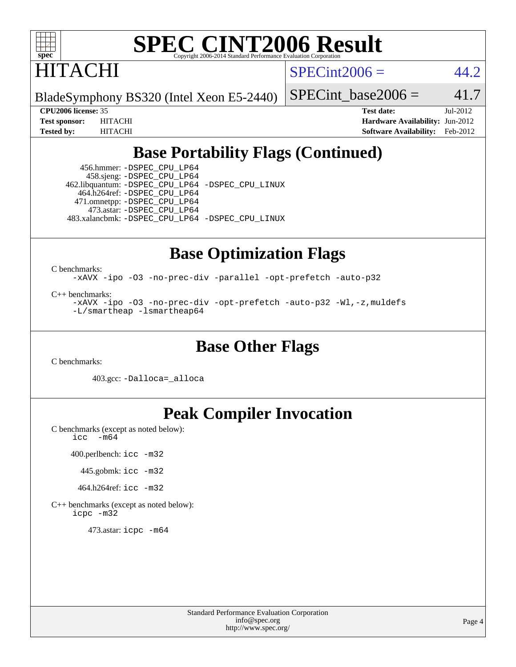

HITACHI

 $SPECint2006 = 44.2$  $SPECint2006 = 44.2$ 

BladeSymphony BS320 (Intel Xeon E5-2440)

SPECint base2006 =  $41.7$ 

**[CPU2006 license:](http://www.spec.org/auto/cpu2006/Docs/result-fields.html#CPU2006license)** 35 **[Test date:](http://www.spec.org/auto/cpu2006/Docs/result-fields.html#Testdate)** Jul-2012 **[Test sponsor:](http://www.spec.org/auto/cpu2006/Docs/result-fields.html#Testsponsor)** HITACHI **[Hardware Availability:](http://www.spec.org/auto/cpu2006/Docs/result-fields.html#HardwareAvailability)** Jun-2012 **[Tested by:](http://www.spec.org/auto/cpu2006/Docs/result-fields.html#Testedby)** HITACHI **[Software Availability:](http://www.spec.org/auto/cpu2006/Docs/result-fields.html#SoftwareAvailability)** Feb-2012

### **[Base Portability Flags \(Continued\)](http://www.spec.org/auto/cpu2006/Docs/result-fields.html#BasePortabilityFlags)**

 456.hmmer: [-DSPEC\\_CPU\\_LP64](http://www.spec.org/cpu2006/results/res2012q3/cpu2006-20120717-23773.flags.html#suite_basePORTABILITY456_hmmer_DSPEC_CPU_LP64) 458.sjeng: [-DSPEC\\_CPU\\_LP64](http://www.spec.org/cpu2006/results/res2012q3/cpu2006-20120717-23773.flags.html#suite_basePORTABILITY458_sjeng_DSPEC_CPU_LP64) 462.libquantum: [-DSPEC\\_CPU\\_LP64](http://www.spec.org/cpu2006/results/res2012q3/cpu2006-20120717-23773.flags.html#suite_basePORTABILITY462_libquantum_DSPEC_CPU_LP64) [-DSPEC\\_CPU\\_LINUX](http://www.spec.org/cpu2006/results/res2012q3/cpu2006-20120717-23773.flags.html#b462.libquantum_baseCPORTABILITY_DSPEC_CPU_LINUX) 464.h264ref: [-DSPEC\\_CPU\\_LP64](http://www.spec.org/cpu2006/results/res2012q3/cpu2006-20120717-23773.flags.html#suite_basePORTABILITY464_h264ref_DSPEC_CPU_LP64) 471.omnetpp: [-DSPEC\\_CPU\\_LP64](http://www.spec.org/cpu2006/results/res2012q3/cpu2006-20120717-23773.flags.html#suite_basePORTABILITY471_omnetpp_DSPEC_CPU_LP64) 473.astar: [-DSPEC\\_CPU\\_LP64](http://www.spec.org/cpu2006/results/res2012q3/cpu2006-20120717-23773.flags.html#suite_basePORTABILITY473_astar_DSPEC_CPU_LP64) 483.xalancbmk: [-DSPEC\\_CPU\\_LP64](http://www.spec.org/cpu2006/results/res2012q3/cpu2006-20120717-23773.flags.html#suite_basePORTABILITY483_xalancbmk_DSPEC_CPU_LP64) [-DSPEC\\_CPU\\_LINUX](http://www.spec.org/cpu2006/results/res2012q3/cpu2006-20120717-23773.flags.html#b483.xalancbmk_baseCXXPORTABILITY_DSPEC_CPU_LINUX)

### **[Base Optimization Flags](http://www.spec.org/auto/cpu2006/Docs/result-fields.html#BaseOptimizationFlags)**

[C benchmarks](http://www.spec.org/auto/cpu2006/Docs/result-fields.html#Cbenchmarks):

[-xAVX](http://www.spec.org/cpu2006/results/res2012q3/cpu2006-20120717-23773.flags.html#user_CCbase_f-xAVX) [-ipo](http://www.spec.org/cpu2006/results/res2012q3/cpu2006-20120717-23773.flags.html#user_CCbase_f-ipo) [-O3](http://www.spec.org/cpu2006/results/res2012q3/cpu2006-20120717-23773.flags.html#user_CCbase_f-O3) [-no-prec-div](http://www.spec.org/cpu2006/results/res2012q3/cpu2006-20120717-23773.flags.html#user_CCbase_f-no-prec-div) [-parallel](http://www.spec.org/cpu2006/results/res2012q3/cpu2006-20120717-23773.flags.html#user_CCbase_f-parallel) [-opt-prefetch](http://www.spec.org/cpu2006/results/res2012q3/cpu2006-20120717-23773.flags.html#user_CCbase_f-opt-prefetch) [-auto-p32](http://www.spec.org/cpu2006/results/res2012q3/cpu2006-20120717-23773.flags.html#user_CCbase_f-auto-p32)

[C++ benchmarks:](http://www.spec.org/auto/cpu2006/Docs/result-fields.html#CXXbenchmarks)

[-xAVX](http://www.spec.org/cpu2006/results/res2012q3/cpu2006-20120717-23773.flags.html#user_CXXbase_f-xAVX) [-ipo](http://www.spec.org/cpu2006/results/res2012q3/cpu2006-20120717-23773.flags.html#user_CXXbase_f-ipo) [-O3](http://www.spec.org/cpu2006/results/res2012q3/cpu2006-20120717-23773.flags.html#user_CXXbase_f-O3) [-no-prec-div](http://www.spec.org/cpu2006/results/res2012q3/cpu2006-20120717-23773.flags.html#user_CXXbase_f-no-prec-div) [-opt-prefetch](http://www.spec.org/cpu2006/results/res2012q3/cpu2006-20120717-23773.flags.html#user_CXXbase_f-opt-prefetch) [-auto-p32](http://www.spec.org/cpu2006/results/res2012q3/cpu2006-20120717-23773.flags.html#user_CXXbase_f-auto-p32) [-Wl,-z,muldefs](http://www.spec.org/cpu2006/results/res2012q3/cpu2006-20120717-23773.flags.html#user_CXXbase_link_force_multiple1_74079c344b956b9658436fd1b6dd3a8a) [-L/smartheap -lsmartheap64](http://www.spec.org/cpu2006/results/res2012q3/cpu2006-20120717-23773.flags.html#user_CXXbase_SmartHeap64_5e654037dadeae1fe403ab4b4466e60b)

### **[Base Other Flags](http://www.spec.org/auto/cpu2006/Docs/result-fields.html#BaseOtherFlags)**

[C benchmarks](http://www.spec.org/auto/cpu2006/Docs/result-fields.html#Cbenchmarks):

403.gcc: [-Dalloca=\\_alloca](http://www.spec.org/cpu2006/results/res2012q3/cpu2006-20120717-23773.flags.html#b403.gcc_baseEXTRA_CFLAGS_Dalloca_be3056838c12de2578596ca5467af7f3)

### **[Peak Compiler Invocation](http://www.spec.org/auto/cpu2006/Docs/result-fields.html#PeakCompilerInvocation)**

[C benchmarks \(except as noted below\)](http://www.spec.org/auto/cpu2006/Docs/result-fields.html#Cbenchmarksexceptasnotedbelow): [icc -m64](http://www.spec.org/cpu2006/results/res2012q3/cpu2006-20120717-23773.flags.html#user_CCpeak_intel_icc_64bit_f346026e86af2a669e726fe758c88044)

400.perlbench: [icc -m32](http://www.spec.org/cpu2006/results/res2012q3/cpu2006-20120717-23773.flags.html#user_peakCCLD400_perlbench_intel_icc_a6a621f8d50482236b970c6ac5f55f93)

445.gobmk: [icc -m32](http://www.spec.org/cpu2006/results/res2012q3/cpu2006-20120717-23773.flags.html#user_peakCCLD445_gobmk_intel_icc_a6a621f8d50482236b970c6ac5f55f93)

464.h264ref: [icc -m32](http://www.spec.org/cpu2006/results/res2012q3/cpu2006-20120717-23773.flags.html#user_peakCCLD464_h264ref_intel_icc_a6a621f8d50482236b970c6ac5f55f93)

[C++ benchmarks \(except as noted below\):](http://www.spec.org/auto/cpu2006/Docs/result-fields.html#CXXbenchmarksexceptasnotedbelow) [icpc -m32](http://www.spec.org/cpu2006/results/res2012q3/cpu2006-20120717-23773.flags.html#user_CXXpeak_intel_icpc_4e5a5ef1a53fd332b3c49e69c3330699)

473.astar: [icpc -m64](http://www.spec.org/cpu2006/results/res2012q3/cpu2006-20120717-23773.flags.html#user_peakCXXLD473_astar_intel_icpc_64bit_fc66a5337ce925472a5c54ad6a0de310)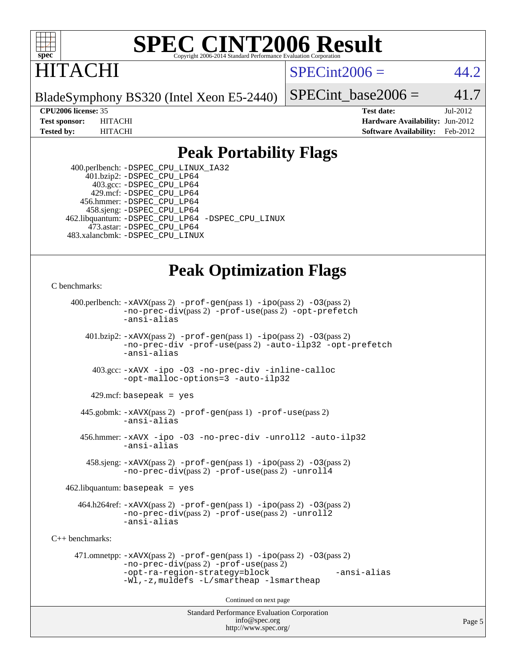

## ITACHI

 $SPECint2006 = 44.2$  $SPECint2006 = 44.2$ 

BladeSymphony BS320 (Intel Xeon E5-2440)

SPECint base2006 =  $41.7$ 

**[CPU2006 license:](http://www.spec.org/auto/cpu2006/Docs/result-fields.html#CPU2006license)** 35 **[Test date:](http://www.spec.org/auto/cpu2006/Docs/result-fields.html#Testdate)** Jul-2012 **[Test sponsor:](http://www.spec.org/auto/cpu2006/Docs/result-fields.html#Testsponsor)** HITACHI **[Hardware Availability:](http://www.spec.org/auto/cpu2006/Docs/result-fields.html#HardwareAvailability)** Jun-2012 **[Tested by:](http://www.spec.org/auto/cpu2006/Docs/result-fields.html#Testedby)** HITACHI **[Software Availability:](http://www.spec.org/auto/cpu2006/Docs/result-fields.html#SoftwareAvailability)** Feb-2012

### **[Peak Portability Flags](http://www.spec.org/auto/cpu2006/Docs/result-fields.html#PeakPortabilityFlags)**

 400.perlbench: [-DSPEC\\_CPU\\_LINUX\\_IA32](http://www.spec.org/cpu2006/results/res2012q3/cpu2006-20120717-23773.flags.html#b400.perlbench_peakCPORTABILITY_DSPEC_CPU_LINUX_IA32) 401.bzip2: [-DSPEC\\_CPU\\_LP64](http://www.spec.org/cpu2006/results/res2012q3/cpu2006-20120717-23773.flags.html#suite_peakPORTABILITY401_bzip2_DSPEC_CPU_LP64) 403.gcc: [-DSPEC\\_CPU\\_LP64](http://www.spec.org/cpu2006/results/res2012q3/cpu2006-20120717-23773.flags.html#suite_peakPORTABILITY403_gcc_DSPEC_CPU_LP64) 429.mcf: [-DSPEC\\_CPU\\_LP64](http://www.spec.org/cpu2006/results/res2012q3/cpu2006-20120717-23773.flags.html#suite_peakPORTABILITY429_mcf_DSPEC_CPU_LP64) 456.hmmer: [-DSPEC\\_CPU\\_LP64](http://www.spec.org/cpu2006/results/res2012q3/cpu2006-20120717-23773.flags.html#suite_peakPORTABILITY456_hmmer_DSPEC_CPU_LP64) 458.sjeng: [-DSPEC\\_CPU\\_LP64](http://www.spec.org/cpu2006/results/res2012q3/cpu2006-20120717-23773.flags.html#suite_peakPORTABILITY458_sjeng_DSPEC_CPU_LP64) 462.libquantum: [-DSPEC\\_CPU\\_LP64](http://www.spec.org/cpu2006/results/res2012q3/cpu2006-20120717-23773.flags.html#suite_peakPORTABILITY462_libquantum_DSPEC_CPU_LP64) [-DSPEC\\_CPU\\_LINUX](http://www.spec.org/cpu2006/results/res2012q3/cpu2006-20120717-23773.flags.html#b462.libquantum_peakCPORTABILITY_DSPEC_CPU_LINUX) 473.astar: [-DSPEC\\_CPU\\_LP64](http://www.spec.org/cpu2006/results/res2012q3/cpu2006-20120717-23773.flags.html#suite_peakPORTABILITY473_astar_DSPEC_CPU_LP64) 483.xalancbmk: [-DSPEC\\_CPU\\_LINUX](http://www.spec.org/cpu2006/results/res2012q3/cpu2006-20120717-23773.flags.html#b483.xalancbmk_peakCXXPORTABILITY_DSPEC_CPU_LINUX)

### **[Peak Optimization Flags](http://www.spec.org/auto/cpu2006/Docs/result-fields.html#PeakOptimizationFlags)**

[C benchmarks](http://www.spec.org/auto/cpu2006/Docs/result-fields.html#Cbenchmarks):

```
Standard Performance Evaluation Corporation
                                          info@spec.org
     400.perlbench: -xAVX(pass 2) -prof-gen(pass 1) -ipo(pass 2) -O3(pass 2)
                -no-prec-div(pass 2) -prof-use(pass 2) -opt-prefetch
                -ansi-alias
        401.bzip2: -xAVX(pass 2) -prof-gen(pass 1) -ipo(pass 2) -O3(pass 2)
                -no-prec-div -prof-use(pass 2) -auto-ilp32 -opt-prefetch
                -ansi-alias
          403.gcc: -xAVX -ipo -O3 -no-prec-div -inline-calloc
                -opt-malloc-options=3 -auto-ilp32
         429.mcf: basepeak = yes
       445.gobmk: -xAVX(pass 2) -prof-gen(pass 1) -prof-use(pass 2)
                -ansi-alias
       456.hmmer: -xAVX -ipo -O3 -no-prec-div -unroll2 -auto-ilp32
                -ansi-alias
         458.sjeng: -xAVX(pass 2) -prof-gen(pass 1) -ipo(pass 2) -O3(pass 2)
                -no-prec-div(pass 2) -prof-use(pass 2) -unroll4
    462.libquantum: basepeak = yes
       464.h264ref: -xAVX(pass 2) -prof-gen(pass 1) -ipo(pass 2) -O3(pass 2)
                -no-prec-div(pass 2) -prof-use(pass 2) -unroll2
                -ansi-alias
C++ benchmarks: 
      471.omnetpp: -xAVX(pass 2) -prof-gen(pass 1) -ipo(pass 2) -O3(pass 2)
                -no-prec-div(pass 2) -prof-use(pass 2)
                -opt-ra-region-strategy=block -ansi-alias
                -Wl,-z,muldefs -L/smartheap -lsmartheap
                                        Continued on next page
```
<http://www.spec.org/>